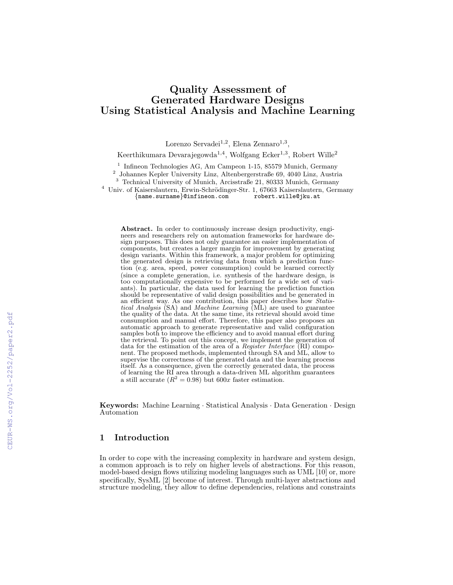# Quality Assessment of Generated Hardware Designs Using Statistical Analysis and Machine Learning

Lorenzo Servadei<sup>1,2</sup>, Elena Zennaro<sup>1,3</sup>,

Keerthikumara Devarajegowda<sup>1,4</sup>, Wolfgang Ecker<sup>1,3</sup>, Robert Wille<sup>2</sup>

<sup>1</sup> Infineon Technologies AG, Am Campeon 1-15, 85579 Munich, Germany

2 Johannes Kepler University Linz, Altenbergerstraße 69, 4040 Linz, Austria

<sup>3</sup> Technical University of Munich, Arcisstraße 21, 80333 Munich, Germany

<sup>4</sup> Univ. of Kaiserslautern, Erwin-Schrödinger-Str. 1, 67663 Kaiserslautern, Germany {name surname}@infineon.com robert.wille@jku.at  ${name.sumem}$ e ${ointineon.com}$ 

Abstract. In order to continuously increase design productivity, engineers and researchers rely on automation frameworks for hardware design purposes. This does not only guarantee an easier implementation of components, but creates a larger margin for improvement by generating design variants. Within this framework, a major problem for optimizing the generated design is retrieving data from which a prediction function (e.g. area, speed, power consumption) could be learned correctly (since a complete generation, i.e. synthesis of the hardware design, is too computationally expensive to be performed for a wide set of variants). In particular, the data used for learning the prediction function should be representative of valid design possibilities and be generated in an efficient way. As one contribution, this paper describes how Statistical Analysis (SA) and Machine Learning (ML) are used to guarantee the quality of the data. At the same time, its retrieval should avoid time consumption and manual effort. Therefore, this paper also proposes an automatic approach to generate representative and valid configuration samples both to improve the efficiency and to avoid manual effort during the retrieval. To point out this concept, we implement the generation of data for the estimation of the area of a Register Interface  $(RI)$  component. The proposed methods, implemented through SA and  $ML$ , allow to supervise the correctness of the generated data and the learning process itself. As a consequence, given the correctly generated data, the process of learning the RI area through a data-driven ML algorithm guarantees a still accurate  $(R^2 = 0.98)$  but  $600x$  faster estimation.

Keywords: Machine Learning · Statistical Analysis · Data Generation · Design Automation

## 1 Introduction

In order to cope with the increasing complexity in hardware and system design, a common approach is to rely on higher levels of abstractions. For this reason, model-based design flows utilizing modeling languages such as UML [10] or, more specifically, SysML [2] become of interest. Through multi-layer abstractions and structure modeling, they allow to define dependencies, relations and constraints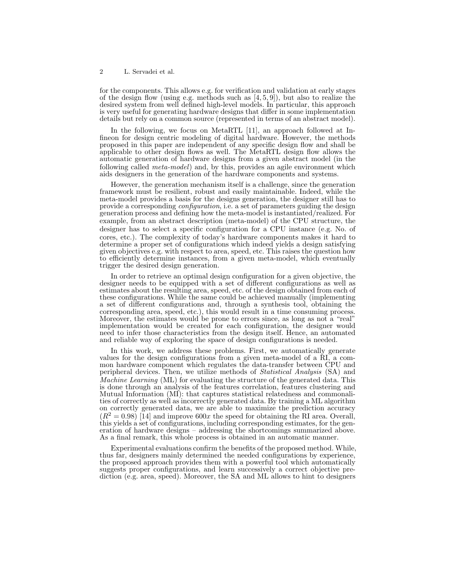for the components. This allows e.g. for verification and validation at early stages of the design flow (using e.g. methods such as [4, 5, 9]), but also to realize the desired system from well defined high-level models. In particular, this approach is very useful for generating hardware designs that differ in some implementation details but rely on a common source (represented in terms of an abstract model).

In the following, we focus on MetaRTL [11], an approach followed at Infineon for design centric modeling of digital hardware. However, the methods proposed in this paper are independent of any specific design flow and shall be applicable to other design flows as well. The MetaRTL design flow allows the automatic generation of hardware designs from a given abstract model (in the following called *meta-model*) and, by this, provides an agile environment which aids designers in the generation of the hardware components and systems.

However, the generation mechanism itself is a challenge, since the generation framework must be resilient, robust and easily maintainable. Indeed, while the meta-model provides a basis for the designs generation, the designer still has to provide a corresponding *configuration*, i.e. a set of parameters guiding the design generation process and defining how the meta-model is instantiated/realized. For example, from an abstract description (meta-model) of the CPU structure, the designer has to select a specific configuration for a CPU instance (e.g. No. of cores, etc.). The complexity of today's hardware components makes it hard to determine a proper set of configurations which indeed yields a design satisfying given objectives e.g. with respect to area, speed, etc. This raises the question how to efficiently determine instances, from a given meta-model, which eventually trigger the desired design generation.

In order to retrieve an optimal design configuration for a given objective, the designer needs to be equipped with a set of different configurations as well as estimates about the resulting area, speed, etc. of the design obtained from each of these configurations. While the same could be achieved manually (implementing a set of different configurations and, through a synthesis tool, obtaining the corresponding area, speed, etc.), this would result in a time consuming process. Moreover, the estimates would be prone to errors since, as long as not a "real" implementation would be created for each configuration, the designer would need to infer those characteristics from the design itself. Hence, an automated and reliable way of exploring the space of design configurations is needed.

In this work, we address these problems. First, we automatically generate values for the design configurations from a given meta-model of a RI, a common hardware component which regulates the data-transfer between CPU and peripheral devices. Then, we utilize methods of Statistical Analysis (SA) and Machine Learning (ML) for evaluating the structure of the generated data. This is done through an analysis of the features correlation, features clustering and Mutual Information (MI): that captures statistical relatedness and commonalities of correctly as well as incorrectly generated data. By training a ML algorithm on correctly generated data, we are able to maximize the prediction accuracy  $(R^2 = 0.98)$  [14] and improve 600x the speed for obtaining the RI area. Overall, this yields a set of configurations, including corresponding estimates, for the generation of hardware designs – addressing the shortcomings summarized above. As a final remark, this whole process is obtained in an automatic manner.

Experimental evaluations confirm the benefits of the proposed method. While, thus far, designers mainly determined the needed configurations by experience, the proposed approach provides them with a powerful tool which automatically suggests proper configurations, and learn successively a correct objective prediction (e.g. area, speed). Moreover, the SA and ML allows to hint to designers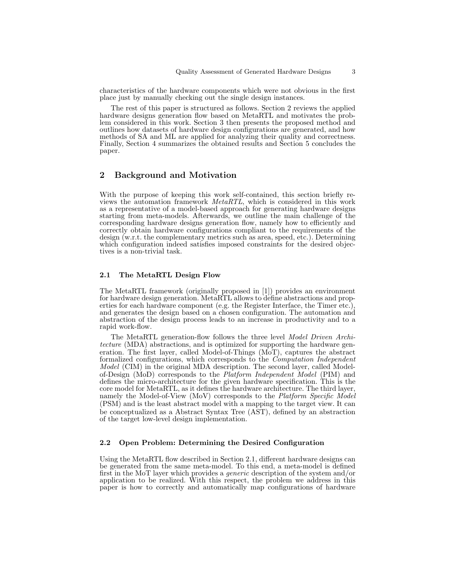characteristics of the hardware components which were not obvious in the first place just by manually checking out the single design instances.

The rest of this paper is structured as follows. Section 2 reviews the applied hardware designs generation flow based on MetaRTL and motivates the problem considered in this work. Section 3 then presents the proposed method and outlines how datasets of hardware design configurations are generated, and how methods of SA and ML are applied for analyzing their quality and correctness. Finally, Section 4 summarizes the obtained results and Section 5 concludes the paper.

# 2 Background and Motivation

With the purpose of keeping this work self-contained, this section briefly reviews the automation framework MetaRTL, which is considered in this work as a representative of a model-based approach for generating hardware designs starting from meta-models. Afterwards, we outline the main challenge of the corresponding hardware designs generation flow, namely how to efficiently and correctly obtain hardware configurations compliant to the requirements of the design (w.r.t. the complementary metrics such as area, speed, etc.). Determining which configuration indeed satisfies imposed constraints for the desired objectives is a non-trivial task.

### 2.1 The MetaRTL Design Flow

The MetaRTL framework (originally proposed in [1]) provides an environment for hardware design generation. MetaRTL allows to define abstractions and properties for each hardware component (e.g. the Register Interface, the Timer etc.), and generates the design based on a chosen configuration. The automation and abstraction of the design process leads to an increase in productivity and to a rapid work-flow.

The MetaRTL generation-flow follows the three level Model Driven Architecture (MDA) abstractions, and is optimized for supporting the hardware generation. The first layer, called Model-of-Things (MoT), captures the abstract formalized configurations, which corresponds to the Computation Independent Model (CIM) in the original MDA description. The second layer, called Modelof-Design (MoD) corresponds to the *Platform Independent Model* (PIM) and defines the micro-architecture for the given hardware specification. This is the core model for MetaRTL, as it defines the hardware architecture. The third layer, namely the Model-of-View (MoV) corresponds to the *Platform Specific Model* (PSM) and is the least abstract model with a mapping to the target view. It can be conceptualized as a Abstract Syntax Tree (AST), defined by an abstraction of the target low-level design implementation.

### 2.2 Open Problem: Determining the Desired Configuration

Using the MetaRTL flow described in Section 2.1, different hardware designs can be generated from the same meta-model. To this end, a meta-model is defined first in the MoT layer which provides a generic description of the system and/or application to be realized. With this respect, the problem we address in this paper is how to correctly and automatically map configurations of hardware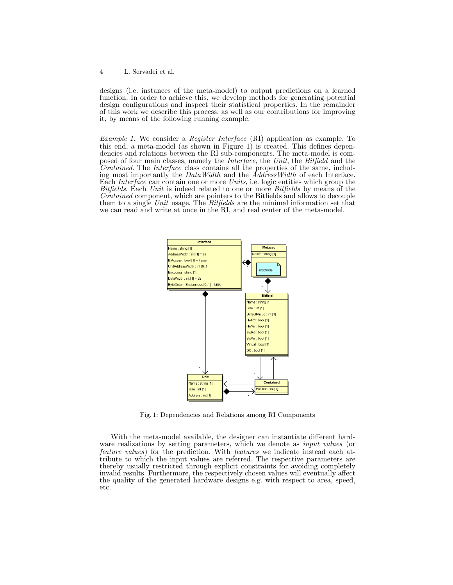designs (i.e. instances of the meta-model) to output predictions on a learned function. In order to achieve this, we develop methods for generating potential design configurations and inspect their statistical properties. In the remainder of this work we describe this process, as well as our contributions for improving it, by means of the following running example.

Example 1. We consider a Register Interface (RI) application as example. To this end, a meta-model (as shown in Figure 1) is created. This defines dependencies and relations between the RI sub-components. The meta-model is composed of four main classes, namely the Interface, the Unit, the Bitfield and the Contained. The Interface class contains all the properties of the same, including most importantly the DataWidth and the AddressWidth of each Interface. Each Interface can contain one or more Units, i.e. logic entities which group the Bitfields. Each Unit is indeed related to one or more Bitfields by means of the Contained component, which are pointers to the Bitfields and allows to decouple them to a single Unit usage. The Bitfields are the minimal information set that we can read and write at once in the RI, and real center of the meta-model.



Fig. 1: Dependencies and Relations among RI Components

With the meta-model available, the designer can instantiate different hardware realizations by setting parameters, which we denote as *input values* (or feature values) for the prediction. With features we indicate instead each attribute to which the input values are referred. The respective parameters are thereby usually restricted through explicit constraints for avoiding completely invalid results. Furthermore, the respectively chosen values will eventually affect the quality of the generated hardware designs e.g. with respect to area, speed, etc.

<sup>4</sup> L. Servadei et al.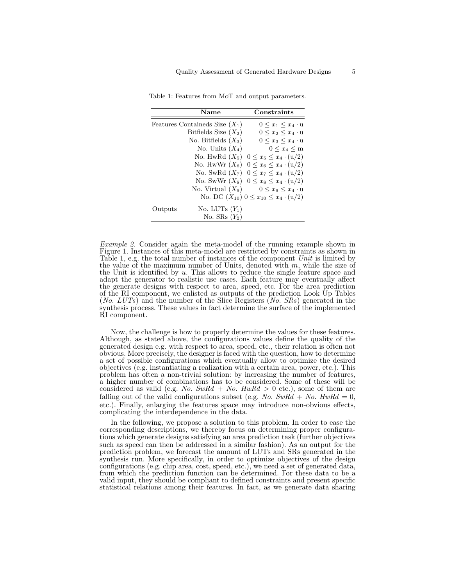|         | <b>Name</b>                      | Constraints                                          |
|---------|----------------------------------|------------------------------------------------------|
|         | Features Containeds Size $(X_1)$ | $0 \leq x_1 \leq x_4 \cdot u$                        |
|         | Bitfields Size $(X_2)$           | $0 \leq x_2 \leq x_4 \cdot u$                        |
|         | No. Bitfields $(X_3)$            | $0 \leq x_3 \leq x_4 \cdot u$                        |
|         | No. Units $(X_4)$                | $0 \leq x_4 \leq m$                                  |
|         |                                  | No. HwRd $(X_5)$ $0 \le x_5 \le x_4 \cdot (u/2)$     |
|         |                                  | No. HwWr $(X_6)$ $0 \le x_6 \le x_4 \cdot (u/2)$     |
|         |                                  | No. SwRd $(X_7)$ $0 \le x_7 \le x_4 \cdot (u/2)$     |
|         |                                  | No. SwWr $(X_8)$ $0 \le x_8 \le x_4 \cdot (u/2)$     |
|         |                                  | No. Virtual $(X_9)$ $0 \le x_9 \le x_4 \cdot u$      |
|         |                                  | No. DC $(X_{10})$ $0 \le x_{10} \le x_4 \cdot (u/2)$ |
| Outputs | No. LUTs $(Y_1)$                 |                                                      |
|         | No. SRs $(Y_2)$                  |                                                      |

Table 1: Features from MoT and output parameters.

Example 2. Consider again the meta-model of the running example shown in Figure 1. Instances of this meta-model are restricted by constraints as shown in Table 1, e.g. the total number of instances of the component Unit is limited by the value of the maximum number of Units, denoted with  $m$ , while the size of the Unit is identified by  $u$ . This allows to reduce the single feature space and adapt the generator to realistic use cases. Each feature may eventually affect the generate designs with respect to area, speed, etc. For the area prediction of the RI component, we enlisted as outputs of the prediction Look Up Tables (No. LUTs) and the number of the Slice Registers (No. SRs) generated in the synthesis process. These values in fact determine the surface of the implemented RI component.

Now, the challenge is how to properly determine the values for these features. Although, as stated above, the configurations values define the quality of the generated design e.g. with respect to area, speed, etc., their relation is often not obvious. More precisely, the designer is faced with the question, how to determine a set of possible configurations which eventually allow to optimize the desired objectives (e.g. instantiating a realization with a certain area, power, etc.). This problem has often a non-trivial solution: by increasing the number of features, a higher number of combinations has to be considered. Some of these will be considered as valid (e.g. No.  $SwRd + No. HwRd > 0$  etc.), some of them are falling out of the valid configurations subset (e.g. No.  $SwRd + No$ .  $HwRd = 0$ , etc.). Finally, enlarging the features space may introduce non-obvious effects, complicating the interdependence in the data.

In the following, we propose a solution to this problem. In order to ease the corresponding descriptions, we thereby focus on determining proper configurations which generate designs satisfying an area prediction task (further objectives such as speed can then be addressed in a similar fashion). As an output for the prediction problem, we forecast the amount of LUTs and SRs generated in the synthesis run. More specifically, in order to optimize objectives of the design configurations (e.g. chip area, cost, speed, etc.), we need a set of generated data, from which the prediction function can be determined. For these data to be a valid input, they should be compliant to defined constraints and present specific statistical relations among their features. In fact, as we generate data sharing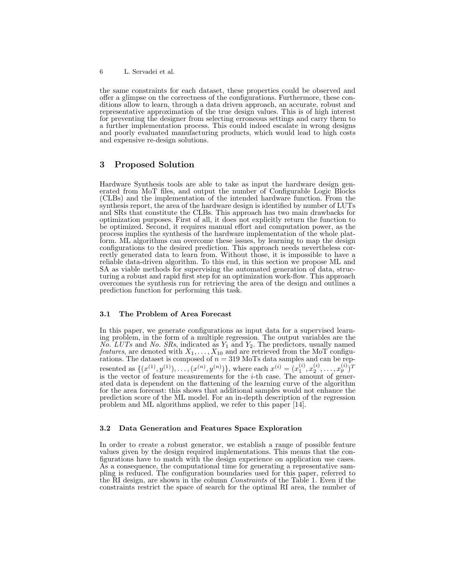the same constraints for each dataset, these properties could be observed and offer a glimpse on the correctness of the configurations. Furthermore, these conditions allow to learn, through a data driven approach, an accurate, robust and representative approximation of the true design values. This is of high interest for preventing the designer from selecting erroneous settings and carry them to a further implementation process. This could indeed escalate in wrong designs and poorly evaluated manufacturing products, which would lead to high costs and expensive re-design solutions.

# 3 Proposed Solution

Hardware Synthesis tools are able to take as input the hardware design generated from MoT files, and output the number of Configurable Logic Blocks (CLBs) and the implementation of the intended hardware function. From the synthesis report, the area of the hardware design is identified by number of LUTs and SRs that constitute the CLBs. This approach has two main drawbacks for optimization purposes. First of all, it does not explicitly return the function to be optimized. Second, it requires manual effort and computation power, as the process implies the synthesis of the hardware implementation of the whole platform. ML algorithms can overcome these issues, by learning to map the design configurations to the desired prediction. This approach needs nevertheless correctly generated data to learn from. Without those, it is impossible to have a reliable data-driven algorithm. To this end, in this section we propose ML and SA as viable methods for supervising the automated generation of data, structuring a robust and rapid first step for an optimization work-flow. This approach overcomes the synthesis run for retrieving the area of the design and outlines a prediction function for performing this task.

### 3.1 The Problem of Area Forecast

In this paper, we generate configurations as input data for a supervised learning problem, in the form of a multiple regression. The output variables are the  $N_o$ . LUTs and No. SRs, indicated as  $Y_1$  and  $Y_2$ . The predictors, usually named *features*, are denoted with  $X_1, \ldots, X_{10}$  and are retrieved from the MoT configurations. The dataset is composed of  $n = 319$  MoTs data samples and can be represented as  $\{(x^{(1)}, y^{(1)}), \ldots, (x^{(n)}, y^{(n)})\}$ , where each  $x^{(i)} = (x_1^{(i)}, x_2^{(i)}, \ldots, x_p^{(i)})^T$ is the vector of feature measurements for the  $i$ -th case. The amount of generated data is dependent on the flattening of the learning curve of the algorithm for the area forecast: this shows that additional samples would not enhance the prediction score of the ML model. For an in-depth description of the regression problem and ML algorithms applied, we refer to this paper [14].

#### 3.2 Data Generation and Features Space Exploration

In order to create a robust generator, we establish a range of possible feature values given by the design required implementations. This means that the configurations have to match with the design experience on application use cases. As a consequence, the computational time for generating a representative sampling is reduced. The configuration boundaries used for this paper, referred to the RI design, are shown in the column Constraints of the Table 1. Even if the constraints restrict the space of search for the optimal RI area, the number of

<sup>6</sup> L. Servadei et al.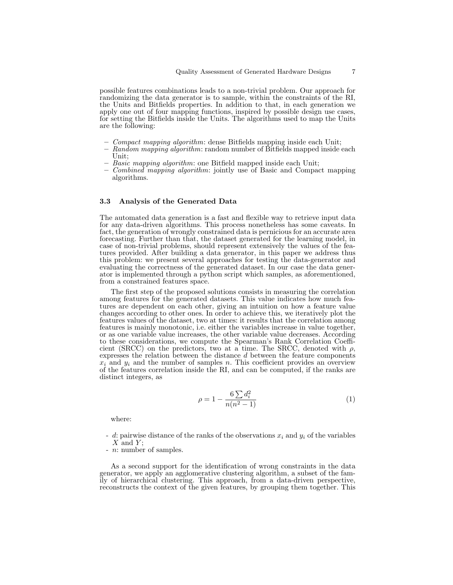possible features combinations leads to a non-trivial problem. Our approach for randomizing the data generator is to sample, within the constraints of the RI, the Units and Bitfields properties. In addition to that, in each generation we apply one out of four mapping functions, inspired by possible design use cases, for setting the Bitfields inside the Units. The algorithms used to map the Units are the following:

- Compact mapping algorithm: dense Bitfields mapping inside each Unit;
- Random mapping algorithm: random number of Bitfields mapped inside each Unit;
- Basic mapping algorithm: one Bitfield mapped inside each Unit;
- Combined mapping algorithm: jointly use of Basic and Compact mapping algorithms.

#### 3.3 Analysis of the Generated Data

The automated data generation is a fast and flexible way to retrieve input data for any data-driven algorithms. This process nonetheless has some caveats. In fact, the generation of wrongly constrained data is pernicious for an accurate area forecasting. Further than that, the dataset generated for the learning model, in case of non-trivial problems, should represent extensively the values of the features provided. After building a data generator, in this paper we address thus this problem: we present several approaches for testing the data-generator and evaluating the correctness of the generated dataset. In our case the data generator is implemented through a python script which samples, as aforementioned, from a constrained features space.

The first step of the proposed solutions consists in measuring the correlation among features for the generated datasets. This value indicates how much features are dependent on each other, giving an intuition on how a feature value changes according to other ones. In order to achieve this, we iteratively plot the features values of the dataset, two at times: it results that the correlation among features is mainly monotonic, i.e. either the variables increase in value together, or as one variable value increases, the other variable value decreases. According to these considerations, we compute the Spearman's Rank Correlation Coefficient (SRCC) on the predictors, two at a time. The SRCC, denoted with  $\rho$ , expresses the relation between the distance  $d$  between the feature components  $x_i$  and  $y_i$  and the number of samples n. This coefficient provides an overview of the features correlation inside the RI, and can be computed, if the ranks are distinct integers, as

$$
\rho = 1 - \frac{6\sum d_i^2}{n(n^2 - 1)}\tag{1}
$$

where:

- d: pairwise distance of the ranks of the observations  $x_i$  and  $y_i$  of the variables  $X$  and  $Y$ :
- *n*: number of samples.

As a second support for the identification of wrong constraints in the data generator, we apply an agglomerative clustering algorithm, a subset of the family of hierarchical clustering. This approach, from a data-driven perspective, reconstructs the context of the given features, by grouping them together. This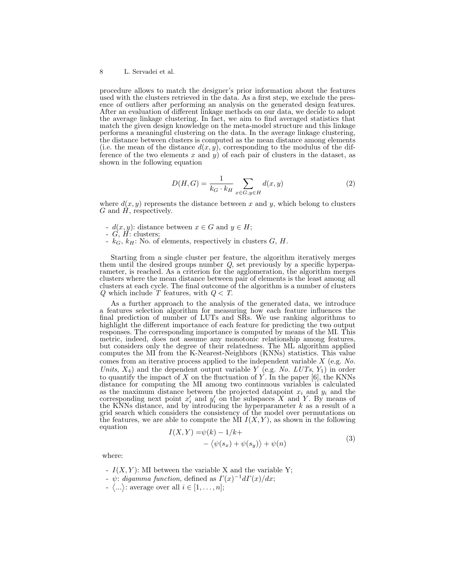procedure allows to match the designer's prior information about the features used with the clusters retrieved in the data. As a first step, we exclude the presence of outliers after performing an analysis on the generated design features. After an evaluation of different linkage methods on our data, we decide to adopt the average linkage clustering. In fact, we aim to find averaged statistics that match the given design knowledge on the meta-model structure and this linkage performs a meaningful clustering on the data. In the average linkage clustering, the distance between clusters is computed as the mean distance among elements (i.e. the mean of the distance  $d(x, y)$ , corresponding to the modulus of the difference of the two elements x and y) of each pair of clusters in the dataset, as shown in the following equation

$$
D(H,G) = \frac{1}{k_G \cdot k_H} \sum_{x \in G, y \in H} d(x,y) \tag{2}
$$

where  $d(x, y)$  represents the distance between x and y, which belong to clusters  $G$  and  $H$ , respectively.

- $-d(x, y)$ : distance between  $x \in G$  and  $y \in H$ ;
- $-G, H:$  clusters;
- $k_G, k_H:$  No. of elements, respectively in clusters  $G, H$ .

Starting from a single cluster per feature, the algorithm iteratively merges them until the desired groups number  $Q$ , set previously by a specific hyperparameter, is reached. As a criterion for the agglomeration, the algorithm merges clusters where the mean distance between pair of elements is the least among all clusters at each cycle. The final outcome of the algorithm is a number of clusters Q which include  $T$  features, with  $Q < T$ .

As a further approach to the analysis of the generated data, we introduce a features selection algorithm for measuring how each feature influences the final prediction of number of LUTs and SRs. We use ranking algorithms to highlight the different importance of each feature for predicting the two output responses. The corresponding importance is computed by means of the MI. This metric, indeed, does not assume any monotonic relationship among features, but considers only the degree of their relatedness. The ML algorithm applied computes the MI from the K-Nearest-Neighbors (KNNs) statistics. This value comes from an iterative process applied to the independent variable X (e.g. No. Units,  $X_4$ ) and the dependent output variable Y (e.g. No. LUTs,  $Y_1$ ) in order to quantify the impact of X on the fluctuation of Y. In the paper  $[6]$ , the KNNs distance for computing the MI among two continuous variables is calculated as the maximum distance between the projected datapoint  $x_i$  and  $y_i$  and the corresponding next point  $x'_i$  and  $y'_i$  on the subspaces X and Y. By means of the KNNs distance, and by introducing the hyperparameter  $k$  as a result of a grid search which considers the consistency of the model over permutations on the features, we are able to compute the MI  $I(X, Y)$ , as shown in the following equation

$$
I(X,Y) = \psi(k) - 1/k +
$$
  
 
$$
- \langle \psi(s_x) + \psi(s_y) \rangle + \psi(n)
$$
 (3)

where:

- $I(X, Y)$ : MI between the variable X and the variable Y;
- $\psi$ : digamma function, defined as  $\Gamma(x)^{-1} d\Gamma(x)/dx$ ;
- $\langle \ldots \rangle$ : average over all  $i \in [1, \ldots, n]$ ;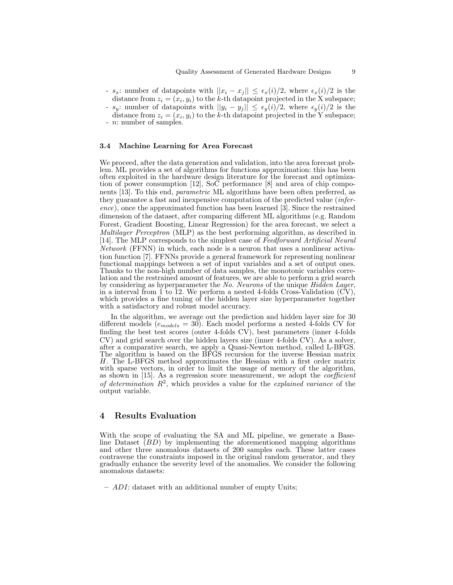- s<sub>x</sub>: number of datapoints with  $||x_i x_j|| \leq \epsilon_x(i)/2$ , where  $\epsilon_x(i)/2$  is the distance from  $z_i = (x_i, y_i)$  to the k-th datapoint projected in the X subspace;
- s<sub>y</sub>: number of datapoints with  $||y_i y_j|| \le \epsilon_y(i)/2$ , where  $\epsilon_y(i)/2$  is the distance from  $z_i = (x_i, y_i)$  to the k-th datapoint projected in the Y subspace;
- *n*: number of samples.

### 3.4 Machine Learning for Area Forecast

We proceed, after the data generation and validation, into the area forecast problem. ML provides a set of algorithms for functions approximation: this has been often exploited in the hardware design literature for the forecast and optimization of power consumption [12], SoC performance [8] and area of chip components [13]. To this end, parametric ML algorithms have been often preferred, as they guarantee a fast and inexpensive computation of the predicted value (inference), once the approximated function has been learned [3]. Since the restrained dimension of the dataset, after comparing different ML algorithms (e.g. Random Forest, Gradient Boosting, Linear Regression) for the area forecast, we select a Multilayer Perceptron (MLP) as the best performing algorithm, as described in [14]. The MLP corresponds to the simplest case of Feedforward Artificial Neural Network (FFNN) in which, each node is a neuron that uses a nonlinear activation function [7]. FFNNs provide a general framework for representing nonlinear functional mappings between a set of input variables and a set of output ones. Thanks to the non-high number of data samples, the monotonic variables correlation and the restrained amount of features, we are able to perform a grid search by considering as hyperparameter the No. Neurons of the unique Hidden Layer, in a interval from 1 to 12. We perform a nested 4-folds Cross-Validation (CV), which provides a fine tuning of the hidden layer size hyperparameter together with a satisfactory and robust model accuracy.

In the algorithm, we average out the prediction and hidden layer size for 30 different models  $(e_{models} = 30)$ . Each model performs a nested 4-folds CV for finding the best test scores (outer 4-folds CV), best parameters (inner 4-folds CV) and grid search over the hidden layers size (inner 4-folds CV). As a solver, after a comparative search, we apply a Quasi-Newton method, called L-BFGS. The algorithm is based on the BFGS recursion for the inverse Hessian matrix H. The L-BFGS method approximates the Hessian with a first order matrix with sparse vectors, in order to limit the usage of memory of the algorithm, as shown in [15]. As a regression score measurement, we adopt the coefficient of determination  $R^2$ , which provides a value for the explained variance of the output variable.

### 4 Results Evaluation

With the scope of evaluating the SA and ML pipeline, we generate a Baseline Dataset  $(BD)$  by implementing the aforementioned mapping algorithms and other three anomalous datasets of 200 samples each. These latter cases contravene the constraints imposed in the original random generator, and they gradually enhance the severity level of the anomalies. We consider the following anomalous datasets:

– ADI: dataset with an additional number of empty Units;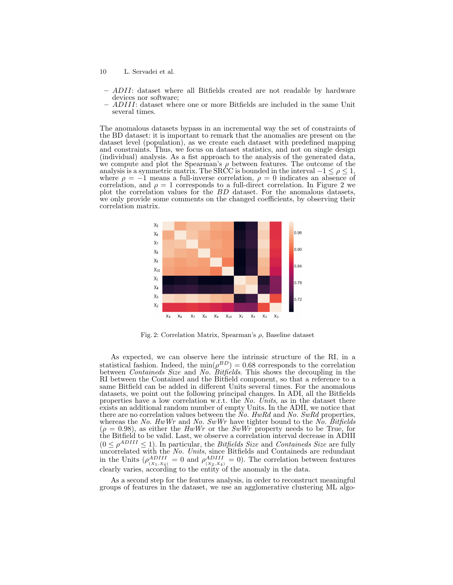- 10 L. Servadei et al.
	- ADII: dataset where all Bitfields created are not readable by hardware devices nor software;
	- ADIII: dataset where one or more Bitfields are included in the same Unit several times.

The anomalous datasets bypass in an incremental way the set of constraints of the BD dataset: it is important to remark that the anomalies are present on the dataset level (population), as we create each dataset with predefined mapping and constraints. Thus, we focus on dataset statistics, and not on single design (individual) analysis. As a fist approach to the analysis of the generated data, we compute and plot the Spearman's  $\rho$  between features. The outcome of the analysis is a symmetric matrix. The SRCC is bounded in the interval  $-1 \leq \rho \leq 1$ , where  $\rho = -1$  means a full-inverse correlation,  $\rho = 0$  indicates an absence of correlation, and  $\rho = 1$  corresponds to a full-direct correlation. In Figure 2 we plot the correlation values for the BD dataset. For the anomalous datasets, we only provide some comments on the changed coefficients, by observing their correlation matrix.



Fig. 2: Correlation Matrix, Spearman's ρ, Baseline dataset

As expected, we can observe here the intrinsic structure of the RI, in a statistical fashion. Indeed, the  $\min(\rho^{BD}) = 0.68$  corresponds to the correlation between *Containeds Size* and *No. Bitfields*. This shows the decoupling in the RI between the Contained and the Bitfield component, so that a reference to a same Bitfield can be added in different Units several times. For the anomalous datasets, we point out the following principal changes. In ADI, all the Bitfields properties have a low correlation w.r.t. the No. Units, as in the dataset there exists an additional random number of empty Units. In the ADII, we notice that there are no correlation values between the No. HwRd and No. SwRd properties, whereas the No. HwWr and No. SwWr have tighter bound to the No. Bitfields  $(\rho = 0.98)$ , as either the HwWr or the SwWr property needs to be True, for the Bitfield to be valid. Last, we observe a correlation interval decrease in ADIII  $(0 \leq \rho^{ADIII} \leq 1)$ . In particular, the *Bitfields Size* and *Containeds Size* are fully uncorrelated with the No. Units, since Bitfields and Containeds are redundant in the Units  $(\rho_{(X_1,X_4)}^{ADIII} = 0$  and  $\rho_{(X_2,X_4)}^{ADIII} = 0$ ). The correlation between features clearly varies, according to the entity of the anomaly in the data.

As a second step for the features analysis, in order to reconstruct meaningful groups of features in the dataset, we use an agglomerative clustering ML algo-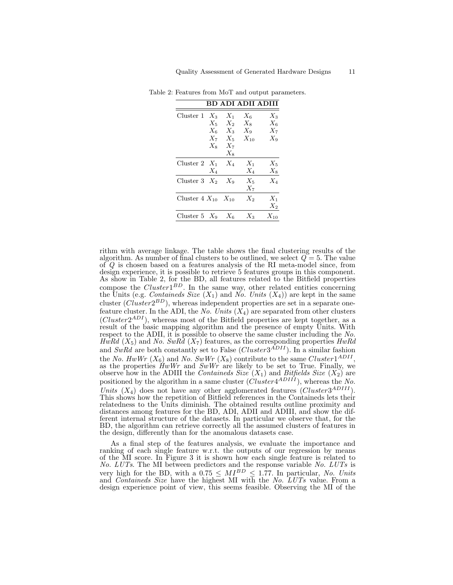| BD ADI ADII ADIII         |                                                                                                         |                    |                                  |  |
|---------------------------|---------------------------------------------------------------------------------------------------------|--------------------|----------------------------------|--|
| Cluster 1                 | $X_{3}$<br>$X_1$<br>$X_2$<br>$X_5$<br>$X_6$ $X_3$ $X_9$<br>$X_7$ $X_5$ $X_{10}$<br>$X_8$ $X_7$<br>$X_8$ | $X_{6}$<br>$X_{8}$ | $X_3$<br>$X_6$<br>$X_7$<br>$X_9$ |  |
| Cluster 2 $X_1$<br>$X_4$  | $X_4$                                                                                                   | $X_1$<br>$X_4$     | $X_5$<br>$X_8$                   |  |
| Cluster 3 $X_2$ $X_9$     |                                                                                                         | $X_5$<br>$X_7$     | $X_4$                            |  |
| Cluster $4 X_{10} X_{10}$ |                                                                                                         | $X_2$              | $X_1$<br>$X_2$                   |  |
| Cluster 5 $X_9$ $X_6$     |                                                                                                         | $X_3$              | $X_{10}$                         |  |

Table 2: Features from MoT and output parameters.

rithm with average linkage. The table shows the final clustering results of the algorithm. As number of final clusters to be outlined, we select  $Q = 5$ . The value of  $Q$  is chosen based on a features analysis of the RI meta-model since, from design experience, it is possible to retrieve 5 features groups in this component. As show in Table 2, for the BD, all features related to the Bitfield properties compose the  $Cluster1^{BD}$ . In the same way, other related entities concerning the Units (e.g. *Containeds Size*  $(X_1)$  and No. Units  $(X_4)$ ) are kept in the same cluster  $(Cluster2^{BD})$ , whereas independent properties are set in a separate onefeature cluster. In the ADI, the No. Units  $(X_4)$  are separated from other clusters  $(Cluster2<sup>ADI</sup>)$ , whereas most of the Bitfield properties are kept together, as a result of the basic mapping algorithm and the presence of empty Units. With respect to the ADII, it is possible to observe the same cluster including the No. HwRd  $(X_5)$  and No. SwRd  $(X_7)$  features, as the corresponding properties HwRd and  $SwRd$  are both constantly set to False ( $Cluster3^{ADII}$ ). In a similar fashion the No.  $HwWr(X_6)$  and No.  $SwWr(X_8)$  contribute to the same  $Cluster1^{ADII}$ , as the properties  $HwWr$  and  $SwWr$  are likely to be set to True. Finally, we observe how in the ADIII the *Containeds Size*  $(X_1)$  and *Bitfields Size*  $(X_2)$  are positioned by the algorithm in a same cluster  $(Cluster 4<sup>ADIII</sup>)$ , whereas the No. Units  $(X_4)$  does not have any other agglomerated features (Cluster3<sup>ADIII</sup>). This shows how the repetition of Bitfield references in the Containeds lets their relatedness to the Units diminish. The obtained results outline proximity and distances among features for the BD, ADI, ADII and ADIII, and show the different internal structure of the datasets. In particular we observe that, for the BD, the algorithm can retrieve correctly all the assumed clusters of features in the design, differently than for the anomalous datasets case.

As a final step of the features analysis, we evaluate the importance and ranking of each single feature w.r.t. the outputs of our regression by means of the MI score. In Figure 3 it is shown how each single feature is related to No. LUTs. The MI between predictors and the response variable No. LUTs is very high for the BD, with a  $0.75 \leq MI^{BD} \leq 1.77$ . In particular, No. Units and *Containeds Size* have the highest MI with the No. LUTs value. From a design experience point of view, this seems feasible. Observing the MI of the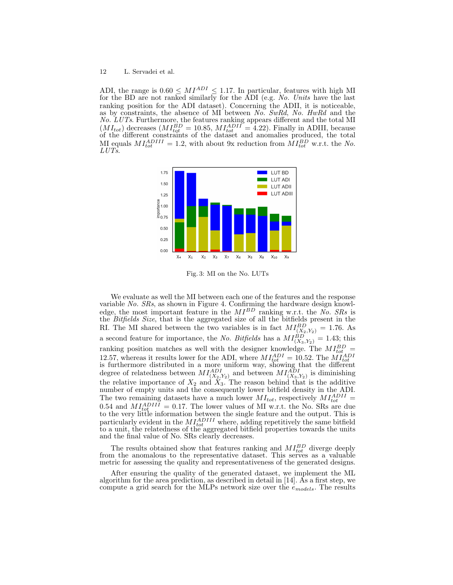ADI, the range is  $0.60 \leq MI^{ADI} \leq 1.17$ . In particular, features with high MI for the BD are not ranked similarly for the ADI (e.g. No. Units have the last ranking position for the ADI dataset). Concerning the ADII, it is noticeable, as by constraints, the absence of MI between No. SwRd, No. HwRd and the No. LUTs. Furthermore, the features ranking appears different and the total MI  $(MI_{tot})$  decreases  $(MI_{tot}^{BD} = 10.85, MI_{tot}^{ADII} = 4.22)$ . Finally in ADIII, because of the different constraints of the dataset and anomalies produced, the total MI equals  $MI_{tot}^{ADIII} = 1.2$ , with about 9x reduction from  $MI_{tot}^{BD}$  w.r.t. the No.  $LUTs$ .



Fig. 3: MI on the No. LUTs

We evaluate as well the MI between each one of the features and the response variable No. SRs, as shown in Figure 4. Confirming the hardware design knowledge, the most important feature in the  $MI^{BD}$  ranking w.r.t. the No. SRs is the Bitfields Size, that is the aggregated size of all the bitfields present in the RI. The MI shared between the two variables is in fact  $MI_{(X_2,Y_2)}^{BD} = 1.76$ . As a second feature for importance, the No. Bitfields has a  $MI_{(X_3,Y_2)}^{BD} = 1.43$ ; this ranking position matches as well with the designer knowledge. The  $MI_{tot}^{BD}$  = 12.57, whereas it results lower for the ADI, where  $MI_{tot}^{ADI} = 10.52$ . The  $MI_{tot}^{ADI}$  is furthermore distributed in a more uniform way, showing that the different degree of relatedness between  $MI_{(X_2,Y_2)}^{ADI}$  and between  $MI_{(X_3,Y_2)}^{ADI}$  is diminishing the relative importance of  $X_2$  and  $X_3$ . The reason behind that is the additive number of empty units and the consequently lower bitfield density in the ADI. The two remaining datasets have a much lower  $MI_{tot}$ , respectively  $MI_{tot}^{ADII}$  = 0.54 and  $M_{tot}^{ADIII} = 0.17$ . The lower values of MI w.r.t. the No. SRs are due to the very little information between the single feature and the output. This is particularly evident in the  $MI_{tot}^{ADIII}$  where, adding repetitively the same bitfield to a unit, the relatedness of the aggregated bitfield properties towards the units and the final value of No. SRs clearly decreases.

The results obtained show that features ranking and  $MI_{tot}^{BD}$  diverge deeply from the anomalous to the representative dataset. This serves as a valuable metric for assessing the quality and representativeness of the generated designs.

After ensuring the quality of the generated dataset, we implement the ML algorithm for the area prediction, as described in detail in [14]. As a first step, we compute a grid search for the MLPs network size over the  $e_{models}$ . The results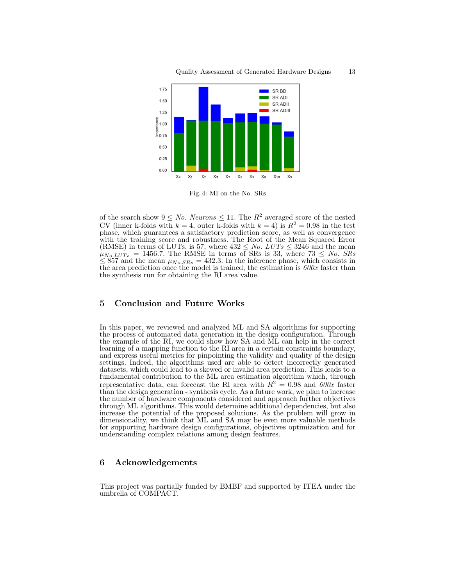

Fig. 4: MI on the No. SRs

of the search show  $9 \leq No.$  Neurons  $\leq 11$ . The  $R^2$  averaged score of the nested CV (inner k-folds with  $k = 4$ , outer k-folds with  $k = 4$ ) is  $R^2 = 0.98$  in the test phase, which guarantees a satisfactory prediction score, as well as convergence with the training score and robustness. The Root of the Mean Squared Error (RMSE) in terms of LUTs, is 57, where  $432 \leq No. LUTs \leq 3246$  and the mean  $\mu_{No. LUTs} = 1456.7$ . The RMSE in terms of SRs is 33, where  $73 \leq No.$  SRs  $\leq$  857 and the mean  $\mu_{No,SRs} = 432.3$ . In the inference phase, which consists in the area prediction once the model is trained, the estimation is  $600x$  faster than the synthesis run for obtaining the RI area value.

# 5 Conclusion and Future Works

In this paper, we reviewed and analyzed ML and SA algorithms for supporting the process of automated data generation in the design configuration. Through the example of the RI, we could show how SA and ML can help in the correct learning of a mapping function to the RI area in a certain constraints boundary, and express useful metrics for pinpointing the validity and quality of the design settings. Indeed, the algorithms used are able to detect incorrectly generated datasets, which could lead to a skewed or invalid area prediction. This leads to a fundamental contribution to the ML area estimation algorithm which, through representative data, can forecast the RI area with  $R^2 = 0.98$  and  $600x$  faster than the design generation - synthesis cycle. As a future work, we plan to increase the number of hardware components considered and approach further objectives through ML algorithms. This would determine additional dependencies, but also increase the potential of the proposed solutions. As the problem will grow in dimensionality, we think that ML and SA may be even more valuable methods for supporting hardware design configurations, objectives optimization and for understanding complex relations among design features.

# 6 Acknowledgements

This project was partially funded by BMBF and supported by ITEA under the umbrella of COMPACT.